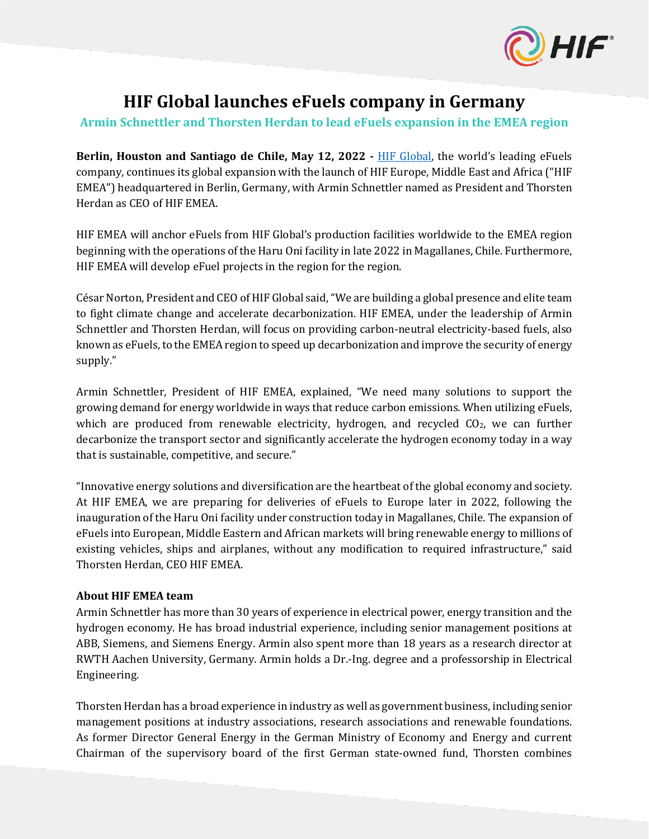

# **HIF Global launches eFuels company in Germany**

## **Armin Schnettler and Thorsten Herdan to lead eFuels expansion in the EMEA region**

**Berlin, Houston and Santiago de Chile, May 12, 2022 -** [HIF Global,](http://www.hifglobal.com/) the world's leading eFuels company, continues its global expansion with the launch of HIF Europe, Middle East and Africa ("HIF EMEA") headquartered in Berlin, Germany, with Armin Schnettler named as President and Thorsten Herdan as CEO of HIF EMEA.

HIF EMEA will anchor eFuels from HIF Global's production facilities worldwide to the EMEA region beginning with the operations of the Haru Oni facility in late 2022 in Magallanes, Chile. Furthermore, HIF EMEA will develop eFuel projects in the region for the region.

César Norton, President and CEO of HIF Global said,"We are building a global presence and elite team to fight climate change and accelerate decarbonization. HIF EMEA, under the leadership of Armin Schnettler and Thorsten Herdan, will focus on providing carbon-neutral electricity-based fuels, also known as eFuels, to the EMEA region to speed up decarbonization and improve the security of energy supply."

Armin Schnettler, President of HIF EMEA, explained, "We need many solutions to support the growing demand for energy worldwide in ways that reduce carbon emissions. When utilizing eFuels, which are produced from renewable electricity, hydrogen, and recycled  $CO<sub>2</sub>$ , we can further decarbonize the transport sector and significantly accelerate the hydrogen economy today in a way that is sustainable, competitive, and secure."

"Innovative energy solutions and diversification are the heartbeat of the global economy and society. At HIF EMEA, we are preparing for deliveries of eFuels to Europe later in 2022, following the inauguration of the Haru Oni facility under construction today in Magallanes, Chile. The expansion of eFuels into European, Middle Eastern and African markets will bring renewable energy to millions of existing vehicles, ships and airplanes, without any modification to required infrastructure," said Thorsten Herdan, CEO HIF EMEA.

### **About HIF EMEA team**

Armin Schnettler has more than 30 years of experience in electrical power, energy transition and the hydrogen economy. He has broad industrial experience, including senior management positions at ABB, Siemens, and Siemens Energy. Armin also spent more than 18 years as a research director at RWTH Aachen University, Germany. Armin holds a Dr.-Ing. degree and a professorship in Electrical Engineering.

Thorsten Herdan has a broad experience in industry as well as government business, including senior management positions at industry associations, research associations and renewable foundations. As former Director General Energy in the German Ministry of Economy and Energy and current Chairman of the supervisory board of the first German state-owned fund, Thorsten combines